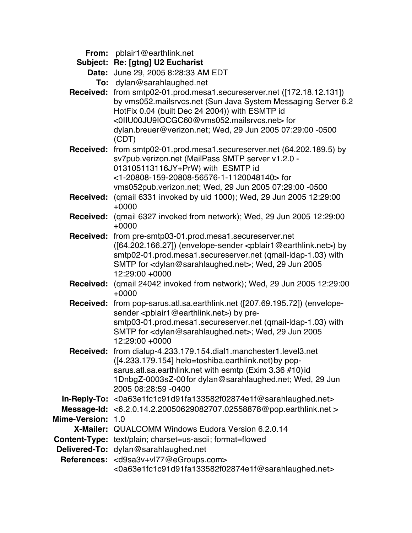- **From:** pblair1@earthlink.net
- **Subject: Re: [gtng] U2 Eucharist**

**Date:** June 29, 2005 8:28:33 AM EDT

- **To:** dylan@sarahlaughed.net
- **Received:** from smtp02-01.prod.mesa1.secureserver.net ([172.18.12.131]) by vms052.mailsrvcs.net (Sun Java System Messaging Server 6.2 HotFix 0.04 (built Dec 24 2004)) with ESMTP id <0IIU00JU9IOCGC60@vms052.mailsrvcs.net> for dylan.breuer@verizon.net; Wed, 29 Jun 2005 07:29:00 -0500 (CDT)
- **Received:** from smtp02-01.prod.mesa1.secureserver.net (64.202.189.5) by sv7pub.verizon.net (MailPass SMTP server v1.2.0 - 013105113116JY+PrW) with ESMTP id <1-20808-159-20808-56576-1-1120048140> for vms052pub.verizon.net; Wed, 29 Jun 2005 07:29:00 -0500
- **Received:** (qmail 6331 invoked by uid 1000); Wed, 29 Jun 2005 12:29:00 +0000
- **Received:** (qmail 6327 invoked from network); Wed, 29 Jun 2005 12:29:00 +0000
- **Received:** from pre-smtp03-01.prod.mesa1.secureserver.net ([64.202.166.27]) (envelope-sender <pblair1@earthlink.net>) by smtp02-01.prod.mesa1.secureserver.net (qmail-ldap-1.03) with SMTP for <dylan@sarahlaughed.net>; Wed, 29 Jun 2005 12:29:00 +0000
- **Received:** (qmail 24042 invoked from network); Wed, 29 Jun 2005 12:29:00 +0000
- **Received:** from pop-sarus.atl.sa.earthlink.net ([207.69.195.72]) (envelopesender <pblair1@earthlink.net>) by presmtp03-01.prod.mesa1.secureserver.net (qmail-ldap-1.03) with SMTP for <dylan@sarahlaughed.net>; Wed, 29 Jun 2005 12:29:00 +0000
- **Received:** from dialup-4.233.179.154.dial1.manchester1.level3.net ([4.233.179.154] helo=toshiba.earthlink.net)by popsarus.atl.sa.earthlink.net with esmtp (Exim 3.36 #10)id 1DnbgZ-0003sZ-00for dylan@sarahlaughed.net; Wed, 29 Jun 2005 08:28:59 -0400
- **In-Reply-To:** <0a63e1fc1c91d91fa133582f02874e1f@sarahlaughed.net>
- **Message-Id:** <6.2.0.14.2.20050629082707.02558878@pop.earthlink.net > **Mime-Version:** 1.0
- 
- **X-Mailer:** QUALCOMM Windows Eudora Version 6.2.0.14
- **Content-Type:** text/plain; charset=us-ascii; format=flowed
- **Delivered-To:** dylan@sarahlaughed.net
- **References:** <d9sa3v+vl77@eGroups.com> <0a63e1fc1c91d91fa133582f02874e1f@sarahlaughed.net>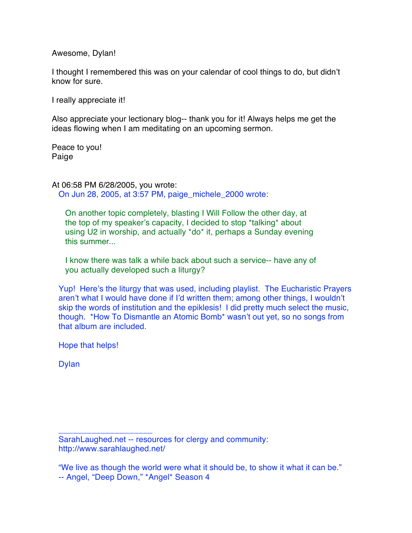Awesome, Dylan!

I thought I remembered this was on your calendar of cool things to do, but didn't know for sure.

I really appreciate it!

Also appreciate your lectionary blog-- thank you for it! Always helps me get the ideas flowing when I am meditating on an upcoming sermon.

Peace to you! Paige

At 06:58 PM 6/28/2005, you wrote: On Jun 28, 2005, at 3:57 PM, paige\_michele\_2000 wrote:

On another topic completely, blasting I Will Follow the other day, at the top of my speaker's capacity, I decided to stop \*talking\* about using U2 in worship, and actually \*do\* it, perhaps a Sunday evening this summer...

I know there was talk a while back about such a service-- have any of you actually developed such a liturgy?

Yup! Here's the liturgy that was used, including playlist. The Eucharistic Prayers aren't what I would have done if I'd written them; among other things, I wouldn't skip the words of institution and the epiklesis! I did pretty much select the music, though. \*How To Dismantle an Atomic Bomb\* wasn't out yet, so no songs from that album are included.

Hope that helps!

\_\_\_\_\_\_\_\_\_\_\_\_\_\_\_\_\_\_\_\_

Dylan

SarahLaughed.net -- resources for clergy and community: http://www.sarahlaughed.net/

"We live as though the world were what it should be, to show it what it can be." -- Angel, "Deep Down," \*Angel\* Season 4